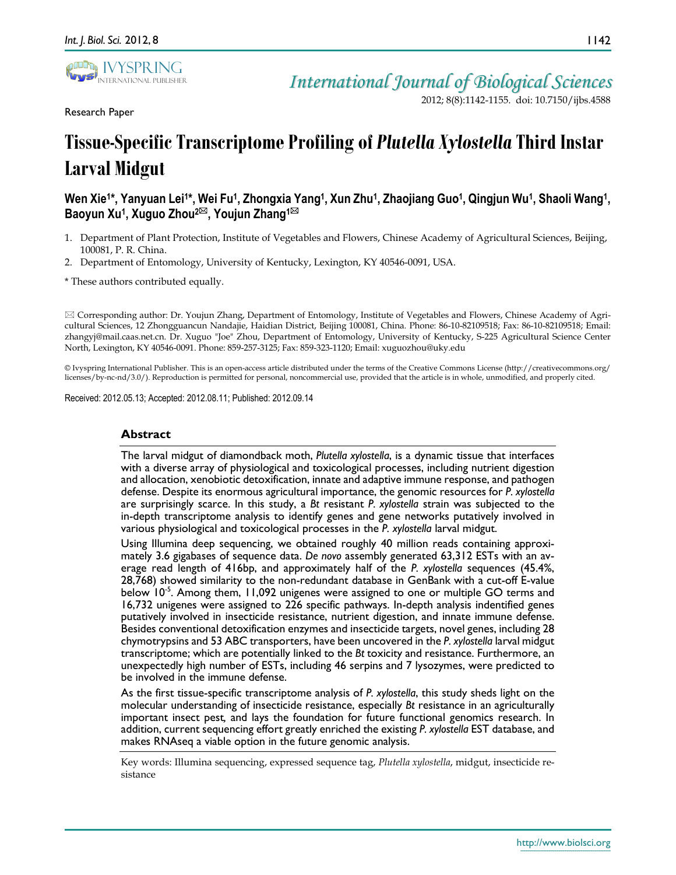

Research Paper

*International Journal of Biological Sciences*

2012; 8(8):1142-1155. doi: 10.7150/ijbs.4588

# **Tissue-Specific Transcriptome Profiling of** *Plutella Xylostella* **Third Instar Larval Midgut**

# **Wen Xie1\*, Yanyuan Lei1\*, Wei Fu1, Zhongxia Yang1, Xun Zhu1, Zhaojiang Guo1, Qingjun Wu1, Shaoli Wang1, Baoyun Xu1, Xuguo Zhou2, Youjun Zhang1**

- 1. Department of Plant Protection, Institute of Vegetables and Flowers, Chinese Academy of Agricultural Sciences, Beijing, 100081, P. R. China.
- 2. Department of Entomology, University of Kentucky, Lexington, KY 40546-0091, USA.

\* These authors contributed equally.

 $\boxtimes$  Corresponding author: Dr. Youjun Zhang, Department of Entomology, Institute of Vegetables and Flowers, Chinese Academy of Agricultural Sciences, 12 Zhongguancun Nandajie, Haidian District, Beijing 100081, China. Phone: 86-10-82109518; Fax: 86-10-82109518; Email: zhangyj@mail.caas.net.cn. Dr. Xuguo "Joe" Zhou, Department of Entomology, University of Kentucky, S-225 Agricultural Science Center North, Lexington, KY 40546-0091. Phone: 859-257-3125; Fax: 859-323-1120; Email: xuguozhou@uky.edu

© Ivyspring International Publisher. This is an open-access article distributed under the terms of the Creative Commons License (http://creativecommons.org/ licenses/by-nc-nd/3.0/). Reproduction is permitted for personal, noncommercial use, provided that the article is in whole, unmodified, and properly cited.

Received: 2012.05.13; Accepted: 2012.08.11; Published: 2012.09.14

## **Abstract**

The larval midgut of diamondback moth, *Plutella xylostella*, is a dynamic tissue that interfaces with a diverse array of physiological and toxicological processes, including nutrient digestion and allocation, xenobiotic detoxification, innate and adaptive immune response, and pathogen defense. Despite its enormous agricultural importance, the genomic resources for *P. xylostella* are surprisingly scarce. In this study, a *Bt* resistant *P. xylostella* strain was subjected to the in-depth transcriptome analysis to identify genes and gene networks putatively involved in various physiological and toxicological processes in the *P. xylostella* larval midgut.

Using Illumina deep sequencing, we obtained roughly 40 million reads containing approximately 3.6 gigabases of sequence data. *De novo* assembly generated 63,312 ESTs with an average read length of 416bp, and approximately half of the *P. xylostella* sequences (45.4%, 28,768) showed similarity to the non-redundant database in GenBank with a cut-off E-value below 10<sup>-5</sup>. Among them, 11,092 unigenes were assigned to one or multiple GO terms and 16,732 unigenes were assigned to 226 specific pathways. In-depth analysis indentified genes putatively involved in insecticide resistance, nutrient digestion, and innate immune defense. Besides conventional detoxification enzymes and insecticide targets, novel genes, including 28 chymotrypsins and 53 ABC transporters, have been uncovered in the *P. xylostella* larval midgut transcriptome; which are potentially linked to the *Bt* toxicity and resistance. Furthermore, an unexpectedly high number of ESTs, including 46 serpins and 7 lysozymes, were predicted to be involved in the immune defense.

As the first tissue-specific transcriptome analysis of *P. xylostella*, this study sheds light on the molecular understanding of insecticide resistance, especially *Bt* resistance in an agriculturally important insect pest*,* and lays the foundation for future functional genomics research. In addition, current sequencing effort greatly enriched the existing *P. xylostella* EST database, and makes RNAseq a viable option in the future genomic analysis.

Key words: Illumina sequencing, expressed sequence tag, *Plutella xylostella*, midgut, insecticide resistance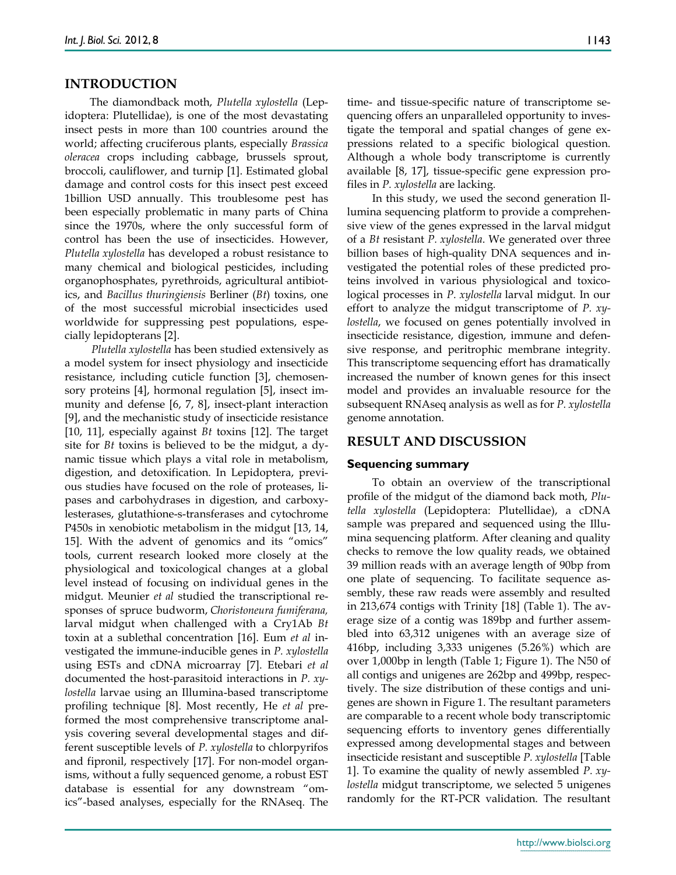## **INTRODUCTION**

The diamondback moth, *Plutella xylostella* (Lepidoptera: Plutellidae), is one of the most devastating insect pests in more than 100 countries around the world; affecting cruciferous plants, especially *Brassica oleracea* crops including cabbage, brussels sprout, broccoli, cauliflower, and turnip [1]. Estimated global damage and control costs for this insect pest exceed 1billion USD annually. This troublesome pest has been especially problematic in many parts of China since the 1970s, where the only successful form of control has been the use of insecticides. However, *Plutella xylostella* has developed a robust resistance to many chemical and biological pesticides, including organophosphates, pyrethroids, agricultural antibiotics, and *Bacillus thuringiensis* Berliner (*Bt*) toxins, one of the most successful microbial insecticides used worldwide for suppressing pest populations, especially lepidopterans [2].

*Plutella xylostella* has been studied extensively as a model system for insect physiology and insecticide resistance, including cuticle function [3], chemosensory proteins [4], hormonal regulation [5], insect immunity and defense [6, 7, 8], insect-plant interaction [9], and the mechanistic study of insecticide resistance [10, 11], especially against *Bt* toxins [12]. The target site for *Bt* toxins is believed to be the midgut, a dynamic tissue which plays a vital role in metabolism, digestion, and detoxification. In Lepidoptera, previous studies have focused on the role of proteases, lipases and carbohydrases in digestion, and carboxylesterases, glutathione-s-transferases and cytochrome P450s in xenobiotic metabolism in the midgut [13, 14, 15]. With the advent of genomics and its "omics" tools, current research looked more closely at the physiological and toxicological changes at a global level instead of focusing on individual genes in the midgut. Meunier *et al* studied the transcriptional responses of spruce budworm, *Choristoneura fumiferana,* larval midgut when challenged with a Cry1Ab *Bt* toxin at a sublethal concentration [16]. Eum *et al* investigated the immune-inducible genes in *P. xylostella* using ESTs and cDNA microarray [7]. Etebari *et al* documented the host-parasitoid interactions in *P. xylostella* larvae using an Illumina-based transcriptome profiling technique [8]. Most recently, He *et al* preformed the most comprehensive transcriptome analysis covering several developmental stages and different susceptible levels of *P. xylostella* to chlorpyrifos and fipronil, respectively [17]. For non-model organisms, without a fully sequenced genome, a robust EST database is essential for any downstream "omics"-based analyses, especially for the RNAseq. The time- and tissue-specific nature of transcriptome sequencing offers an unparalleled opportunity to investigate the temporal and spatial changes of gene expressions related to a specific biological question. Although a whole body transcriptome is currently available [8, 17], tissue-specific gene expression profiles in *P. xylostella* are lacking.

In this study, we used the second generation Illumina sequencing platform to provide a comprehensive view of the genes expressed in the larval midgut of a *Bt* resistant *P. xylostella*. We generated over three billion bases of high-quality DNA sequences and investigated the potential roles of these predicted proteins involved in various physiological and toxicological processes in *P. xylostella* larval midgut. In our effort to analyze the midgut transcriptome of *P. xylostella*, we focused on genes potentially involved in insecticide resistance, digestion, immune and defensive response, and peritrophic membrane integrity. This transcriptome sequencing effort has dramatically increased the number of known genes for this insect model and provides an invaluable resource for the subsequent RNAseq analysis as well as for *P. xylostella* genome annotation.

# **RESULT AND DISCUSSION**

#### **Sequencing summary**

To obtain an overview of the transcriptional profile of the midgut of the diamond back moth, *Plutella xylostella* (Lepidoptera: Plutellidae), a cDNA sample was prepared and sequenced using the Illumina sequencing platform. After cleaning and quality checks to remove the low quality reads, we obtained 39 million reads with an average length of 90bp from one plate of sequencing. To facilitate sequence assembly, these raw reads were assembly and resulted in 213,674 contigs with Trinity [18] (Table 1). The average size of a contig was 189bp and further assembled into 63,312 unigenes with an average size of 416bp, including 3,333 unigenes (5.26%) which are over 1,000bp in length (Table 1; Figure 1). The N50 of all contigs and unigenes are 262bp and 499bp, respectively. The size distribution of these contigs and unigenes are shown in Figure 1. The resultant parameters are comparable to a recent whole body transcriptomic sequencing efforts to inventory genes differentially expressed among developmental stages and between insecticide resistant and susceptible *P. xylostella* [Table 1]. To examine the quality of newly assembled *P. xylostella* midgut transcriptome, we selected 5 unigenes randomly for the RT-PCR validation. The resultant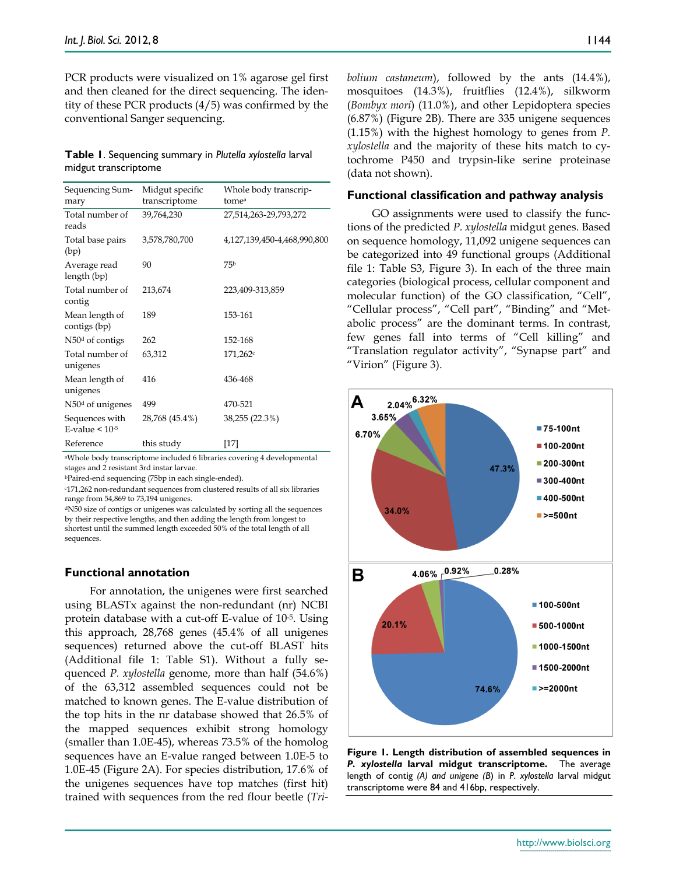PCR products were visualized on 1% agarose gel first and then cleaned for the direct sequencing. The identity of these PCR products (4/5) was confirmed by the conventional Sanger sequencing.

## **Table 1**. Sequencing summary in *Plutella xylostella* larval midgut transcriptome

| Sequencing Sum-<br>mary                  | Midgut specific<br>transcriptome | Whole body transcrip-<br>tomea |
|------------------------------------------|----------------------------------|--------------------------------|
| Total number of<br>reads                 | 39,764,230                       | 27,514,263-29,793,272          |
| Total base pairs<br>(bp)                 | 3,578,780,700                    | 4,127,139,450-4,468,990,800    |
| Average read<br>length (bp)              | 90                               | 75b                            |
| Total number of<br>contig                | 213,674                          | 223,409-313,859                |
| Mean length of<br>contigs (bp)           | 189                              | 153-161                        |
| $N50d$ of contigs                        | 262                              | 152-168                        |
| Total number of<br>unigenes              | 63,312                           | 171,262c                       |
| Mean length of<br>unigenes               | 416                              | 436-468                        |
| $N50d$ of unigenes                       | 499                              | 470-521                        |
| Sequences with<br>E-value $\leq 10^{-5}$ | 28,768 (45.4%)                   | 38,255 (22.3%)                 |
| Reference                                | this study                       | [17]                           |

aWhole body transcriptome included 6 libraries covering 4 developmental stages and 2 resistant 3rd instar larvae.

bPaired-end sequencing (75bp in each single-ended).

c171,262 non-redundant sequences from clustered results of all six libraries range from 54,869 to 73,194 unigenes.

dN50 size of contigs or unigenes was calculated by sorting all the sequences by their respective lengths, and then adding the length from longest to shortest until the summed length exceeded 50% of the total length of all sequences.

#### **Functional annotation**

For annotation, the unigenes were first searched using BLASTx against the non-redundant (nr) NCBI protein database with a cut-off E-value of 10-5. Using this approach, 28,768 genes (45.4% of all unigenes sequences) returned above the cut-off BLAST hits (Additional file 1: Table S1). Without a fully sequenced *P. xylostella* genome, more than half (54.6%) of the 63,312 assembled sequences could not be matched to known genes. The E-value distribution of the top hits in the nr database showed that 26.5% of the mapped sequences exhibit strong homology (smaller than 1.0E-45), whereas 73.5% of the homolog sequences have an E-value ranged between 1.0E-5 to 1.0E-45 (Figure 2A). For species distribution, 17.6% of the unigenes sequences have top matches (first hit) trained with sequences from the red flour beetle (*Tri-* *bolium castaneum*), followed by the ants (14.4%), mosquitoes (14.3%), fruitflies (12.4%), silkworm (*Bombyx mori*) (11.0%), and other Lepidoptera species (6.87%) (Figure 2B). There are 335 unigene sequences (1.15%) with the highest homology to genes from *P. xylostella* and the majority of these hits match to cytochrome P450 and trypsin-like serine proteinase (data not shown).

#### **Functional classification and pathway analysis**

GO assignments were used to classify the functions of the predicted *P. xylostella* midgut genes. Based on sequence homology, 11,092 unigene sequences can be categorized into 49 functional groups (Additional file 1: Table S3, Figure 3). In each of the three main categories (biological process, cellular component and molecular function) of the GO classification, "Cell", "Cellular process", "Cell part", "Binding" and "Metabolic process" are the dominant terms. In contrast, few genes fall into terms of "Cell killing" and "Translation regulator activity", "Synapse part" and "Virion" (Figure 3).



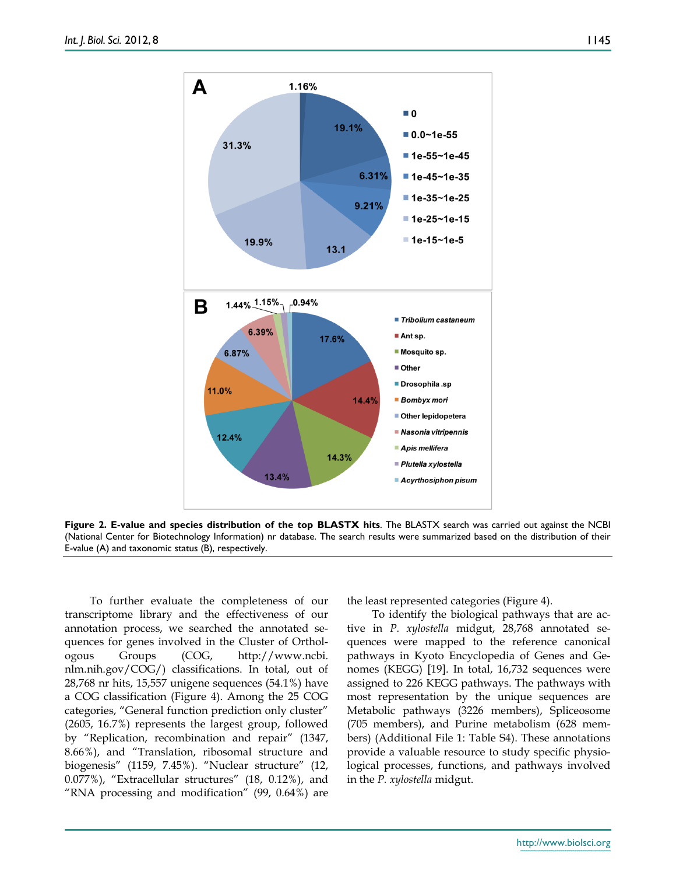1145



**Figure 2. E-value and species distribution of the top BLASTX hits**. The BLASTX search was carried out against the NCBI (National Center for Biotechnology Information) nr database. The search results were summarized based on the distribution of their E-value (A) and taxonomic status (B), respectively.

To further evaluate the completeness of our transcriptome library and the effectiveness of our annotation process, we searched the annotated sequences for genes involved in the Cluster of Orthologous Groups (COG, http://www.ncbi. nlm.nih.gov/COG/) classifications. In total, out of 28,768 nr hits, 15,557 unigene sequences (54.1%) have a COG classification (Figure 4). Among the 25 COG categories, "General function prediction only cluster" (2605, 16.7%) represents the largest group, followed by "Replication, recombination and repair" (1347, 8.66%), and "Translation, ribosomal structure and biogenesis" (1159, 7.45%). "Nuclear structure" (12, 0.077%), "Extracellular structures" (18, 0.12%), and "RNA processing and modification" (99, 0.64%) are

the least represented categories (Figure 4).

To identify the biological pathways that are active in *P. xylostella* midgut, 28,768 annotated sequences were mapped to the reference canonical pathways in Kyoto Encyclopedia of Genes and Genomes (KEGG) [19]. In total, 16,732 sequences were assigned to 226 KEGG pathways. The pathways with most representation by the unique sequences are Metabolic pathways (3226 members), Spliceosome (705 members), and Purine metabolism (628 members) (Additional File 1: Table S4). These annotations provide a valuable resource to study specific physiological processes, functions, and pathways involved in the *P. xylostella* midgut.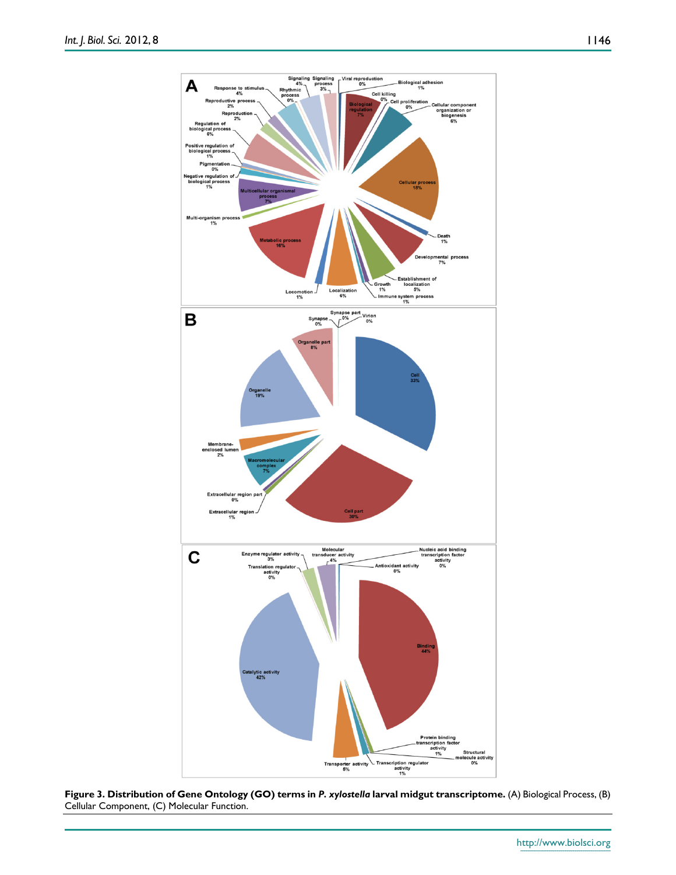

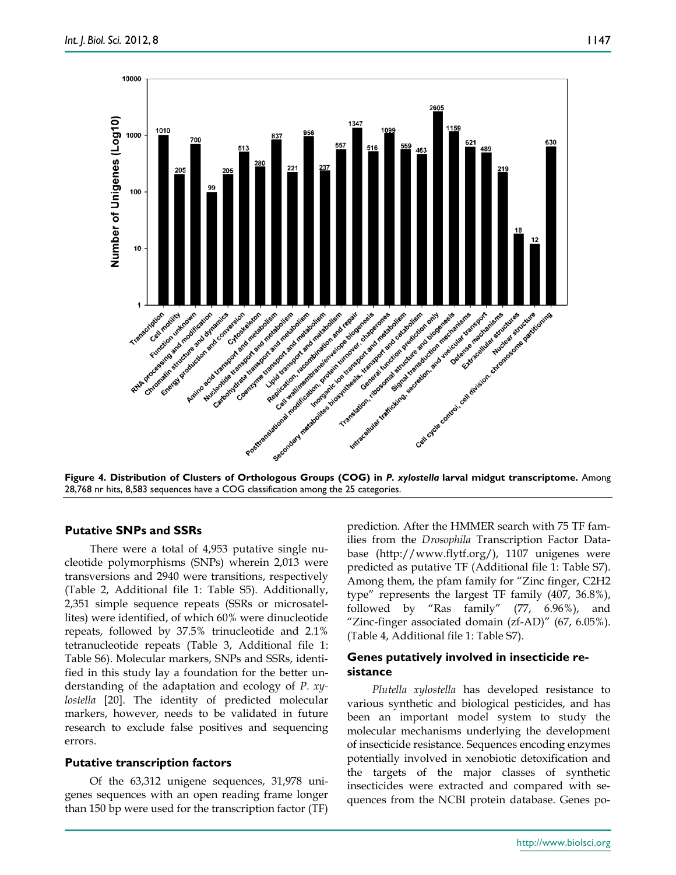

28,768 nr hits, 8,583 sequences have a COG classification among the 25 categories.

## **Putative SNPs and SSRs**

There were a total of 4,953 putative single nucleotide polymorphisms (SNPs) wherein 2,013 were transversions and 2940 were transitions, respectively (Table 2, Additional file 1: Table S5). Additionally, 2,351 simple sequence repeats (SSRs or microsatellites) were identified, of which 60% were dinucleotide repeats, followed by 37.5% trinucleotide and 2.1% tetranucleotide repeats (Table 3, Additional file 1: Table S6). Molecular markers, SNPs and SSRs, identified in this study lay a foundation for the better understanding of the adaptation and ecology of *P. xylostella* [20]. The identity of predicted molecular markers, however, needs to be validated in future research to exclude false positives and sequencing errors.

## **Putative transcription factors**

Of the 63,312 unigene sequences, 31,978 unigenes sequences with an open reading frame longer than 150 bp were used for the transcription factor (TF) prediction. After the HMMER search with 75 TF families from the *Drosophila* Transcription Factor Database (http://www.flytf.org/), 1107 unigenes were predicted as putative TF (Additional file 1: Table S7). Among them, the pfam family for "Zinc finger, C2H2 type" represents the largest TF family (407, 36.8%), followed by "Ras family" (77, 6.96%), and "Zinc-finger associated domain (zf-AD)" (67, 6.05%). (Table 4, Additional file 1: Table S7).

# **Genes putatively involved in insecticide resistance**

*Plutella xylostella* has developed resistance to various synthetic and biological pesticides, and has been an important model system to study the molecular mechanisms underlying the development of insecticide resistance. Sequences encoding enzymes potentially involved in xenobiotic detoxification and the targets of the major classes of synthetic insecticides were extracted and compared with sequences from the NCBI protein database. Genes po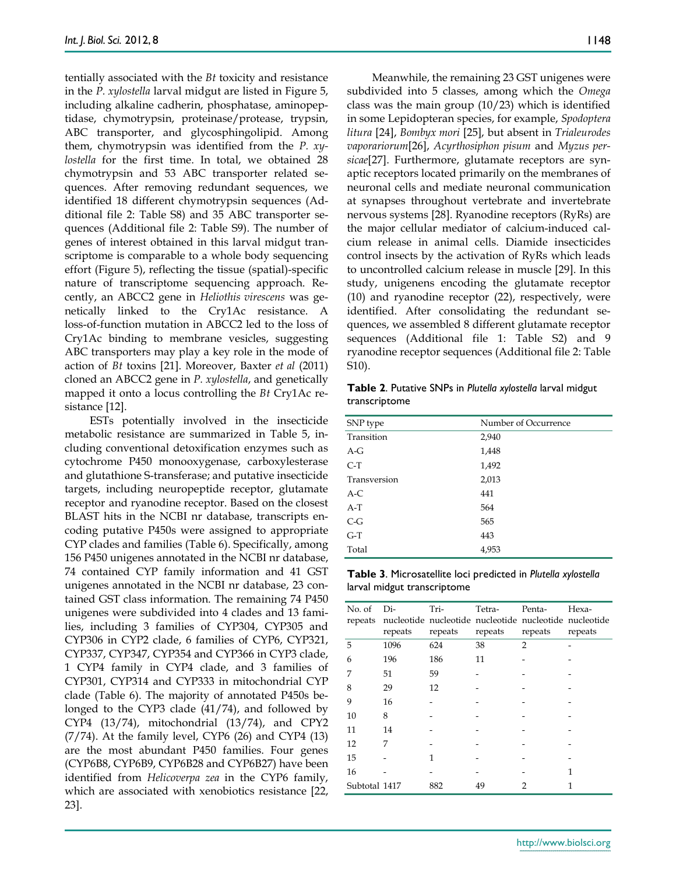tentially associated with the *Bt* toxicity and resistance in the *P. xylostella* larval midgut are listed in Figure 5, including alkaline cadherin, phosphatase, aminopeptidase, chymotrypsin, proteinase/protease, trypsin, ABC transporter, and glycosphingolipid. Among them, chymotrypsin was identified from the *P. xylostella* for the first time. In total, we obtained 28 chymotrypsin and 53 ABC transporter related sequences. After removing redundant sequences, we identified 18 different chymotrypsin sequences (Additional file 2: Table S8) and 35 ABC transporter sequences (Additional file 2: Table S9). The number of genes of interest obtained in this larval midgut transcriptome is comparable to a whole body sequencing effort (Figure 5), reflecting the tissue (spatial)-specific nature of transcriptome sequencing approach. Recently, an ABCC2 gene in *Heliothis virescens* was genetically linked to the Cry1Ac resistance. A loss-of-function mutation in ABCC2 led to the loss of Cry1Ac binding to membrane vesicles, suggesting ABC transporters may play a key role in the mode of action of *Bt* toxins [21]. Moreover, Baxter *et al* (2011) cloned an ABCC2 gene in *P. xylostella*, and genetically mapped it onto a locus controlling the *Bt* Cry1Ac resistance [12].

ESTs potentially involved in the insecticide metabolic resistance are summarized in Table 5, including conventional detoxification enzymes such as cytochrome P450 monooxygenase, carboxylesterase and glutathione S-transferase; and putative insecticide targets, including neuropeptide receptor, glutamate receptor and ryanodine receptor. Based on the closest BLAST hits in the NCBI nr database, transcripts encoding putative P450s were assigned to appropriate CYP clades and families (Table 6). Specifically, among 156 P450 unigenes annotated in the NCBI nr database, 74 contained CYP family information and 41 GST unigenes annotated in the NCBI nr database, 23 contained GST class information. The remaining 74 P450 unigenes were subdivided into 4 clades and 13 families, including 3 families of CYP304, CYP305 and CYP306 in CYP2 clade, 6 families of CYP6, CYP321, CYP337, CYP347, CYP354 and CYP366 in CYP3 clade, 1 CYP4 family in CYP4 clade, and 3 families of CYP301, CYP314 and CYP333 in mitochondrial CYP clade (Table 6). The majority of annotated P450s belonged to the CYP3 clade (41/74), and followed by CYP4 (13/74), mitochondrial (13/74), and CPY2  $(7/74)$ . At the family level, CYP6  $(26)$  and CYP4  $(13)$ are the most abundant P450 families. Four genes (CYP6B8, CYP6B9, CYP6B28 and CYP6B27) have been identified from *Helicoverpa zea* in the CYP6 family, which are associated with xenobiotics resistance [22, 23].

Meanwhile, the remaining 23 GST unigenes were subdivided into 5 classes, among which the *Omega*  class was the main group (10/23) which is identified in some Lepidopteran species, for example, *Spodoptera litura* [24], *Bombyx mori* [25], but absent in *Trialeurodes vaporariorum*[26], *Acyrthosiphon pisum* and *Myzus persicae*[27]. Furthermore, glutamate receptors are synaptic receptors located primarily on the membranes of neuronal cells and mediate neuronal communication at synapses throughout vertebrate and invertebrate nervous systems [28]. Ryanodine receptors (RyRs) are the major cellular mediator of calcium-induced calcium release in animal cells. Diamide insecticides control insects by the activation of RyRs which leads to uncontrolled calcium release in muscle [29]. In this study, unigenens encoding the glutamate receptor (10) and ryanodine receptor (22), respectively, were identified. After consolidating the redundant sequences, we assembled 8 different glutamate receptor sequences (Additional file 1: Table S2) and 9 ryanodine receptor sequences (Additional file 2: Table S10).

**Table 2**. Putative SNPs in *Plutella xylostella* larval midgut transcriptome

| Number of Occurrence |
|----------------------|
| 2,940                |
| 1,448                |
| 1,492                |
| 2,013                |
| 441                  |
| 564                  |
| 565                  |
| 443                  |
| 4,953                |
|                      |

**Table 3**. Microsatellite loci predicted in *Plutella xylostella* larval midgut transcriptome

| No. of<br>repeats | Di-<br>repeats | Tri-<br>repeats | Tetra-<br>nucleotide nucleotide nucleotide nucleotide nucleotide<br>repeats | Penta-<br>repeats | Hexa-<br>repeats |
|-------------------|----------------|-----------------|-----------------------------------------------------------------------------|-------------------|------------------|
| 5                 | 1096           | 624             | 38                                                                          | $\overline{2}$    |                  |
| 6                 | 196            | 186             | 11                                                                          |                   |                  |
| 7                 | 51             | 59              |                                                                             |                   |                  |
| 8                 | 29             | 12              |                                                                             |                   |                  |
| 9                 | 16             |                 |                                                                             |                   |                  |
| 10                | 8              |                 |                                                                             |                   |                  |
| 11                | 14             |                 |                                                                             |                   |                  |
| 12                | 7              |                 |                                                                             |                   |                  |
| 15                |                |                 |                                                                             |                   |                  |
| 16                |                |                 |                                                                             |                   | 1                |
| Subtotal 1417     |                | 882             | 49                                                                          | 2                 | 1                |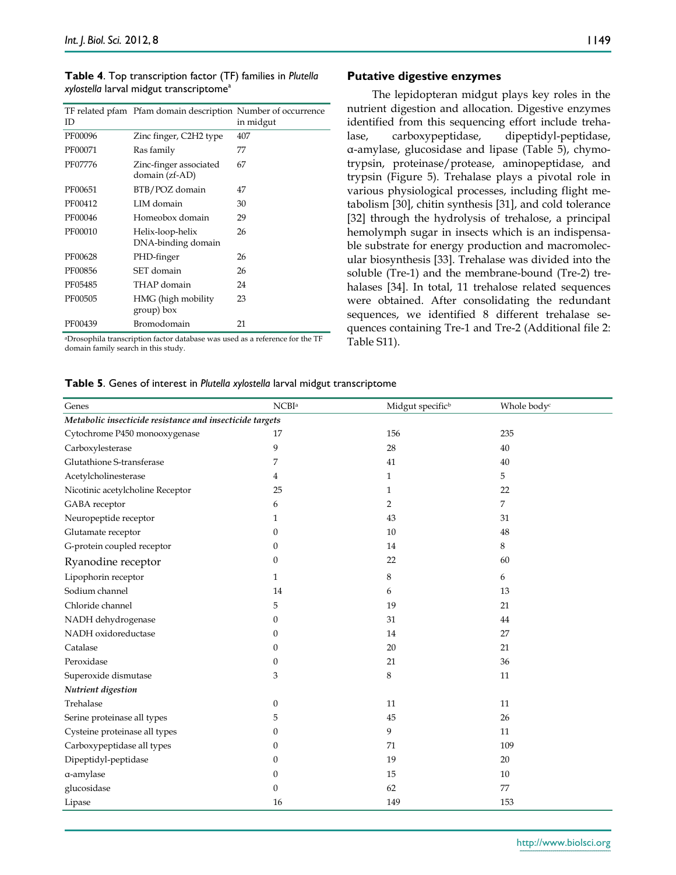| <b>Table 4.</b> Top transcription factor (TF) families in Plutella |  |
|--------------------------------------------------------------------|--|
| xylostella larval midgut transcriptome <sup>a</sup>                |  |

| ID      | TF related pfam Pfam domain description Number of occurrence | in midgut     |
|---------|--------------------------------------------------------------|---------------|
| PF00096 | Zinc finger, C2H2 type                                       | 407           |
| PF00071 | Ras family                                                   | 77            |
| PF07776 | Zinc-finger associated<br>domain (zf-AD)                     | 67            |
| PF00651 | BTB/POZ domain                                               | 47            |
| PF00412 | LIM domain                                                   | 30            |
| PF00046 | Homeobox domain                                              | 29            |
| PF00010 | Helix-loop-helix<br>DNA-binding domain                       | 26            |
| PF00628 | PHD-finger                                                   | 26            |
| PF00856 | SET domain                                                   | 26            |
| PF05485 | THAP domain                                                  | 24            |
| PF00505 | HMG (high mobility<br>group) box                             | 23            |
| PF00439 | Bromodomain                                                  | 21            |
| 1.1     | .                                                            | $\sim$ $\sim$ |

aDrosophila transcription factor database was used as a reference for the TF domain family search in this study.

## **Putative digestive enzymes**

The lepidopteran midgut plays key roles in the nutrient digestion and allocation. Digestive enzymes identified from this sequencing effort include trehalase, carboxypeptidase, dipeptidyl-peptidase, α-amylase, glucosidase and lipase (Table 5), chymotrypsin, proteinase/protease, aminopeptidase, and trypsin (Figure 5). Trehalase plays a pivotal role in various physiological processes, including flight metabolism [30], chitin synthesis [31], and cold tolerance [32] through the hydrolysis of trehalose, a principal hemolymph sugar in insects which is an indispensable substrate for energy production and macromolecular biosynthesis [33]. Trehalase was divided into the soluble (Tre-1) and the membrane-bound (Tre-2) trehalases [34]. In total, 11 trehalose related sequences were obtained. After consolidating the redundant sequences, we identified 8 different trehalase sequences containing Tre-1 and Tre-2 (Additional file 2: Table S11).

## **Table 5**. Genes of interest in *Plutella xylostella* larval midgut transcriptome

| Genes                                                    | NCBI <sup>a</sup> | Midgut specific <sup>b</sup> | Whole body <sup>c</sup> |  |  |
|----------------------------------------------------------|-------------------|------------------------------|-------------------------|--|--|
| Metabolic insecticide resistance and insecticide targets |                   |                              |                         |  |  |
| Cytochrome P450 monooxygenase                            | 17                | 156                          | 235                     |  |  |
| Carboxylesterase                                         | 9                 | 28                           | 40                      |  |  |
| Glutathione S-transferase                                | 7                 | 41                           | 40                      |  |  |
| Acetylcholinesterase                                     | 4                 | 1                            | 5                       |  |  |
| Nicotinic acetylcholine Receptor                         | 25                | 1                            | 22                      |  |  |
| GABA receptor                                            | 6                 | 2                            | 7                       |  |  |
| Neuropeptide receptor                                    | $\mathbf{1}$      | 43                           | 31                      |  |  |
| Glutamate receptor                                       | $\mathbf{0}$      | 10                           | 48                      |  |  |
| G-protein coupled receptor                               | $\theta$          | 14                           | 8                       |  |  |
| Ryanodine receptor                                       | $\boldsymbol{0}$  | 22                           | 60                      |  |  |
| Lipophorin receptor                                      | $\mathbf{1}$      | 8                            | 6                       |  |  |
| Sodium channel                                           | 14                | 6                            | 13                      |  |  |
| Chloride channel                                         | 5                 | 19                           | 21                      |  |  |
| NADH dehydrogenase                                       | $\mathbf{0}$      | 31                           | 44                      |  |  |
| NADH oxidoreductase                                      | $\mathbf{0}$      | 14                           | 27                      |  |  |
| Catalase                                                 | $\Omega$          | 20                           | 21                      |  |  |
| Peroxidase                                               | $\boldsymbol{0}$  | 21                           | 36                      |  |  |
| Superoxide dismutase                                     | 3                 | 8                            | 11                      |  |  |
| Nutrient digestion                                       |                   |                              |                         |  |  |
| Trehalase                                                | $\theta$          | 11                           | 11                      |  |  |
| Serine proteinase all types                              | 5                 | 45                           | 26                      |  |  |
| Cysteine proteinase all types                            | $\theta$          | 9                            | 11                      |  |  |
| Carboxypeptidase all types                               | $\mathbf{0}$      | 71                           | 109                     |  |  |
| Dipeptidyl-peptidase                                     | $\mathbf{0}$      | 19                           | 20                      |  |  |
| a-amylase                                                | $\mathbf{0}$      | 15                           | 10                      |  |  |
| glucosidase                                              | $\mathbf{0}$      | 62                           | 77                      |  |  |
| Lipase                                                   | 16                | 149                          | 153                     |  |  |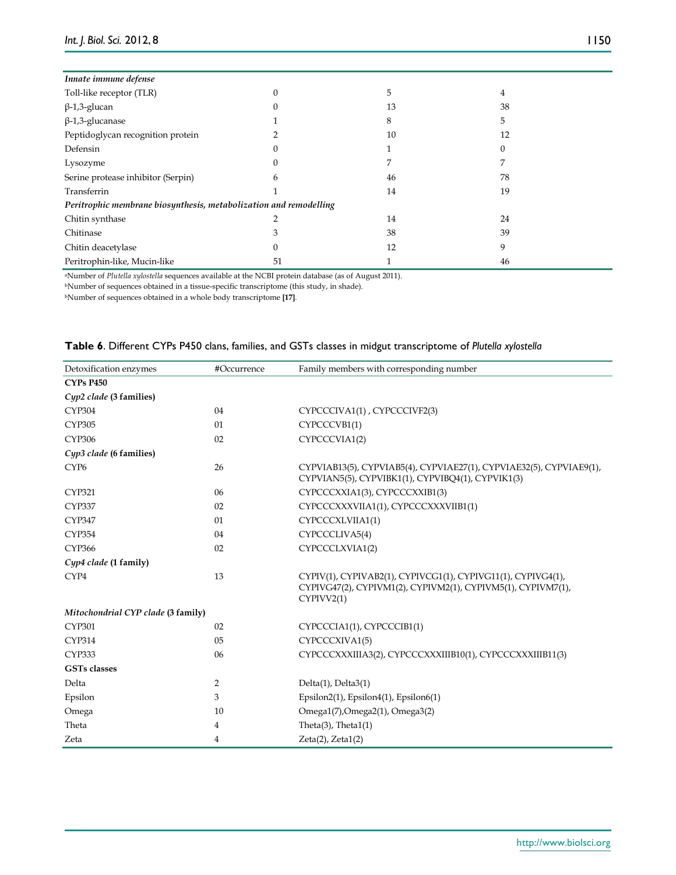| Innate immune defense                                             |    |    |    |  |
|-------------------------------------------------------------------|----|----|----|--|
| Toll-like receptor (TLR)                                          |    | 5  | 4  |  |
| $\beta$ -1,3-glucan                                               |    | 13 | 38 |  |
| $\beta$ -1,3-glucanase                                            |    | 8  | 5  |  |
| Peptidoglycan recognition protein                                 |    | 10 | 12 |  |
| Defensin                                                          |    |    |    |  |
| Lysozyme                                                          |    | 7  | 7  |  |
| Serine protease inhibitor (Serpin)                                | h  | 46 | 78 |  |
| Transferrin                                                       |    | 14 | 19 |  |
| Peritrophic membrane biosynthesis, metabolization and remodelling |    |    |    |  |
| Chitin synthase                                                   |    | 14 | 24 |  |
| Chitinase                                                         |    | 38 | 39 |  |
| Chitin deacetylase                                                |    | 12 | 9  |  |
| Peritrophin-like, Mucin-like                                      | 51 |    | 46 |  |

aNumber of *Plutella xylostella* sequences available at the NCBI protein database (as of August 2011).

 $\,$  bNumber of sequences obtained in a tissue-specific transcriptome (this study, in shade).

bNumber of sequences obtained in a whole body transcriptome **[17]**.

| Table 6. Different CYPs P450 clans, families, and GSTs classes in midgut transcriptome of Plutella xylostella |  |  |  |  |  |  |
|---------------------------------------------------------------------------------------------------------------|--|--|--|--|--|--|
|---------------------------------------------------------------------------------------------------------------|--|--|--|--|--|--|

| Detoxification enzymes             | #Occurrence    | Family members with corresponding number                                                                                                   |
|------------------------------------|----------------|--------------------------------------------------------------------------------------------------------------------------------------------|
| <b>CYPs P450</b>                   |                |                                                                                                                                            |
| Cyp2 clade (3 families)            |                |                                                                                                                                            |
| <b>CYP304</b>                      | 04             | CYPCCCIVA1(1), CYPCCCIVF2(3)                                                                                                               |
| <b>CYP305</b>                      | 01             | CYPCCCVB1(1)                                                                                                                               |
| <b>CYP306</b>                      | 02             | CYPCCCVIA1(2)                                                                                                                              |
| Cyp3 clade (6 families)            |                |                                                                                                                                            |
| CYP <sub>6</sub>                   | 26             | CYPVIAB13(5), CYPVIAB5(4), CYPVIAE27(1), CYPVIAE32(5), CYPVIAE9(1),<br>CYPVIAN5(5), CYPVIBK1(1), CYPVIBQ4(1), CYPVIK1(3)                   |
| <b>CYP321</b>                      | 06             | CYPCCCXXIA1(3), CYPCCCXXIB1(3)                                                                                                             |
| <b>CYP337</b>                      | 02             | CYPCCCXXXVIIA1(1), CYPCCCXXXVIIB1(1)                                                                                                       |
| <b>CYP347</b>                      | 01             | CYPCCCXLVIIA1(1)                                                                                                                           |
| <b>CYP354</b>                      | 04             | CYPCCCLIVA5(4)                                                                                                                             |
| CYP366                             | 02             | CYPCCCLXVIA1(2)                                                                                                                            |
| Cyp4 clade (1 family)              |                |                                                                                                                                            |
| CYP4                               | 13             | CYPIV(1), CYPIVAB2(1), CYPIVCG1(1), CYPIVG11(1), CYPIVG4(1),<br>CYPIVG47(2), CYPIVM1(2), CYPIVM2(1), CYPIVM5(1), CYPIVM7(1),<br>CYPIVV2(1) |
| Mitochondrial CYP clade (3 family) |                |                                                                                                                                            |
| <b>CYP301</b>                      | 02             | CYPCCCIA1(1), CYPCCCIB1(1)                                                                                                                 |
| <b>CYP314</b>                      | 05             | CYPCCCXIVA1(5)                                                                                                                             |
| <b>CYP333</b>                      | 06             | CYPCCCXXXIIIA3(2), CYPCCCXXXIIIB10(1), CYPCCCXXXIIIB11(3)                                                                                  |
| <b>GSTs</b> classes                |                |                                                                                                                                            |
| Delta                              | $\overline{2}$ | $Delta(1)$ , $Delta(3(1)$                                                                                                                  |
| Epsilon                            | 3              | Epsilon2(1), Epsilon4(1), Epsilon6(1)                                                                                                      |
| Omega                              | 10             | Omega1(7), Omega2(1), Omega3(2)                                                                                                            |
| Theta                              | 4              | Theta $(3)$ , Theta $1(1)$                                                                                                                 |
| Zeta                               | 4              | $Zeta(2)$ , $Zeta(2)$                                                                                                                      |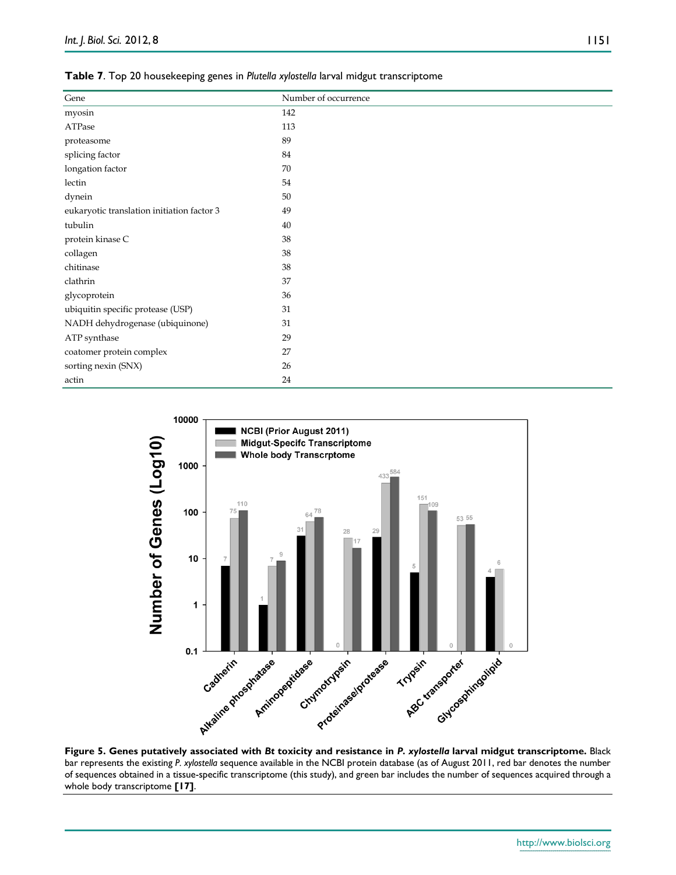| Gene                                       | Number of occurrence |
|--------------------------------------------|----------------------|
| myosin                                     | 142                  |
| ATPase                                     | 113                  |
| proteasome                                 | 89                   |
| splicing factor                            | 84                   |
| longation factor                           | 70                   |
| lectin                                     | 54                   |
| dynein                                     | 50                   |
| eukaryotic translation initiation factor 3 | 49                   |
| tubulin                                    | 40                   |
| protein kinase C                           | 38                   |
| collagen                                   | 38                   |
| chitinase                                  | 38                   |
| clathrin                                   | 37                   |
| glycoprotein                               | 36                   |
| ubiquitin specific protease (USP)          | 31                   |
| NADH dehydrogenase (ubiquinone)            | 31                   |
| ATP synthase                               | 29                   |
| coatomer protein complex                   | 27                   |
| sorting nexin (SNX)                        | 26                   |
| actin                                      | 24                   |

**Table 7**. Top 20 housekeeping genes in *Plutella xylostella* larval midgut transcriptome



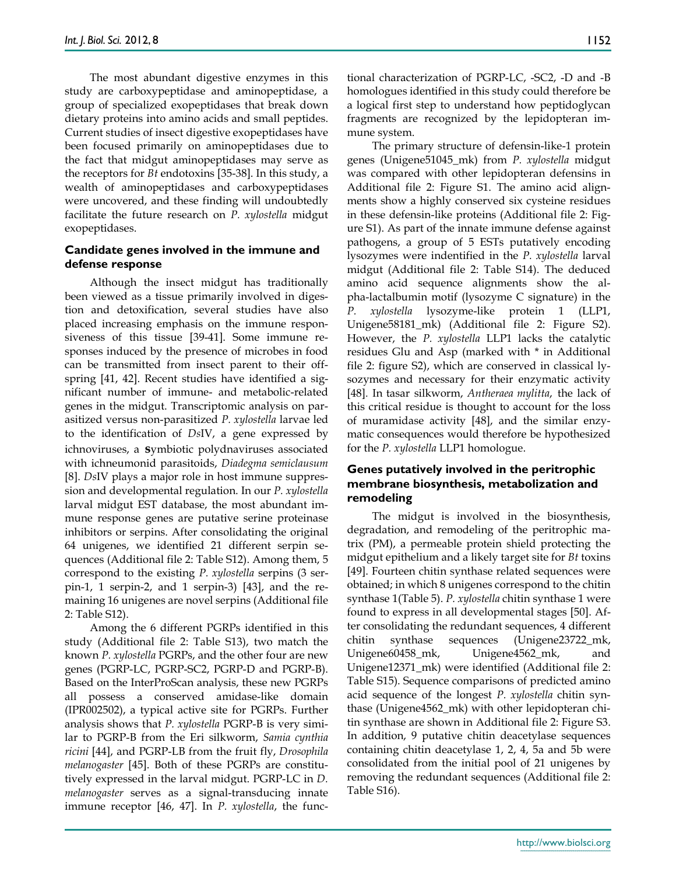The most abundant digestive enzymes in this study are carboxypeptidase and aminopeptidase, a group of specialized exopeptidases that break down dietary proteins into amino acids and small peptides. Current studies of insect digestive exopeptidases have been focused primarily on aminopeptidases due to the fact that midgut aminopeptidases may serve as the receptors for *Bt* endotoxins [35-38]. In this study, a wealth of aminopeptidases and carboxypeptidases were uncovered, and these finding will undoubtedly facilitate the future research on *P. xylostella* midgut exopeptidases.

## **Candidate genes involved in the immune and defense response**

Although the insect midgut has traditionally been viewed as a tissue primarily involved in digestion and detoxification, several studies have also placed increasing emphasis on the immune responsiveness of this tissue [39-41]. Some immune responses induced by the presence of microbes in food can be transmitted from insect parent to their offspring [41, 42]. Recent studies have identified a significant number of immune- and metabolic-related genes in the midgut. Transcriptomic analysis on parasitized versus non-parasitized *P. xylostella* larvae led to the identification of *Ds*IV, a gene expressed by ichnoviruses, a **s**ymbiotic polydnaviruses associated with ichneumonid parasitoids, *Diadegma semiclausum*  [8]. *Ds*IV plays a major role in host immune suppression and developmental regulation. In our *P. xylostella* larval midgut EST database, the most abundant immune response genes are putative serine proteinase inhibitors or serpins. After consolidating the original 64 unigenes, we identified 21 different serpin sequences (Additional file 2: Table S12). Among them, 5 correspond to the existing *P. xylostella* serpins (3 serpin-1, 1 serpin-2, and 1 serpin-3) [43], and the remaining 16 unigenes are novel serpins (Additional file 2: Table S12).

Among the 6 different PGRPs identified in this study (Additional file 2: Table S13), two match the known *P. xylostella* PGRPs, and the other four are new genes (PGRP-LC, PGRP-SC2, PGRP-D and PGRP-B). Based on the InterProScan analysis, these new PGRPs all possess a conserved amidase-like domain (IPR002502), a typical active site for PGRPs. Further analysis shows that *P. xylostella* PGRP-B is very similar to PGRP-B from the Eri silkworm, *Samia cynthia ricini* [44], and PGRP-LB from the fruit fly, *Drosophila melanogaster* [45]. Both of these PGRPs are constitutively expressed in the larval midgut. PGRP-LC in *D. melanogaster* serves as a signal-transducing innate immune receptor [46, 47]. In *P. xylostella*, the functional characterization of PGRP-LC, -SC2, -D and -B homologues identified in this study could therefore be a logical first step to understand how peptidoglycan fragments are recognized by the lepidopteran immune system.

The primary structure of defensin-like-1 protein genes (Unigene51045\_mk) from *P. xylostella* midgut was compared with other lepidopteran defensins in Additional file 2: Figure S1. The amino acid alignments show a highly conserved six cysteine residues in these defensin-like proteins (Additional file 2: Figure S1). As part of the innate immune defense against pathogens, a group of 5 ESTs putatively encoding lysozymes were indentified in the *P. xylostella* larval midgut (Additional file 2: Table S14). The deduced amino acid sequence alignments show the alpha-lactalbumin motif (lysozyme C signature) in the *P. xylostella* lysozyme-like protein 1 (LLP1, Unigene58181\_mk) (Additional file 2: Figure S2). However, the *P. xylostella* LLP1 lacks the catalytic residues Glu and Asp (marked with \* in Additional file 2: figure S2), which are conserved in classical lysozymes and necessary for their enzymatic activity [48]*.* In tasar silkworm, *Antheraea mylitta*, the lack of this critical residue is thought to account for the loss of muramidase activity [48], and the similar enzymatic consequences would therefore be hypothesized for the *P. xylostella* LLP1 homologue.

# **Genes putatively involved in the peritrophic membrane biosynthesis, metabolization and remodeling**

The midgut is involved in the biosynthesis, degradation, and remodeling of the peritrophic matrix (PM), a permeable protein shield protecting the midgut epithelium and a likely target site for *Bt* toxins [49]. Fourteen chitin synthase related sequences were obtained; in which 8 unigenes correspond to the chitin synthase 1(Table 5). *P. xylostella* chitin synthase 1 were found to express in all developmental stages [50]. After consolidating the redundant sequences, 4 different chitin synthase sequences (Unigene23722\_mk, Unigene60458\_mk, Unigene4562\_mk, and Unigene12371\_mk) were identified (Additional file 2: Table S15). Sequence comparisons of predicted amino acid sequence of the longest *P. xylostella* chitin synthase (Unigene4562\_mk) with other lepidopteran chitin synthase are shown in Additional file 2: Figure S3. In addition, 9 putative chitin deacetylase sequences containing chitin deacetylase 1, 2, 4, 5a and 5b were consolidated from the initial pool of 21 unigenes by removing the redundant sequences (Additional file 2: Table S16).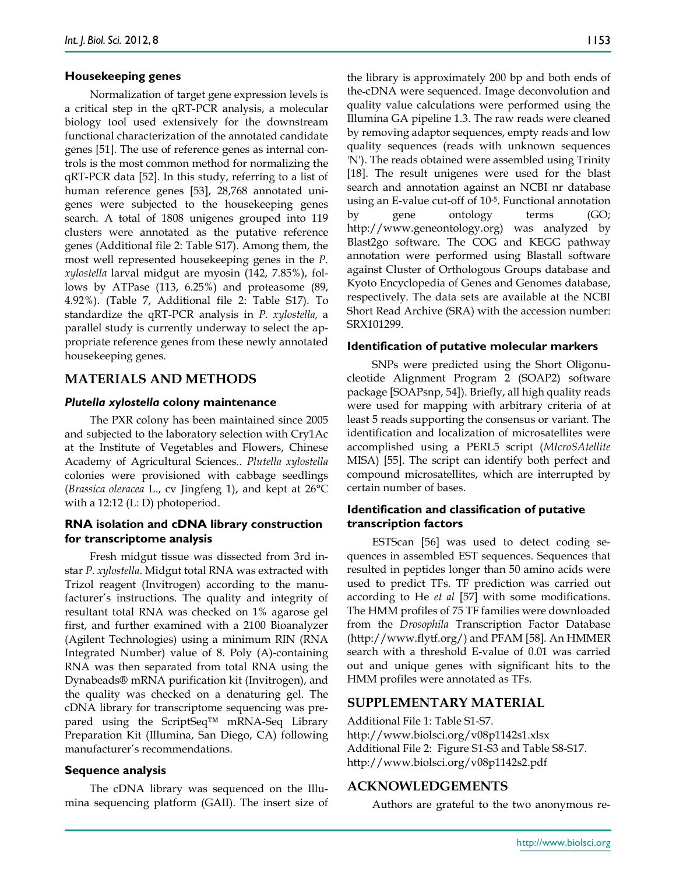## **Housekeeping genes**

Normalization of target gene expression levels is a critical step in the qRT-PCR analysis, a molecular biology tool used extensively for the downstream functional characterization of the annotated candidate genes [51]. The use of reference genes as internal controls is the most common method for normalizing the qRT-PCR data [52]. In this study, referring to a list of human reference genes [53], 28,768 annotated unigenes were subjected to the housekeeping genes search. A total of 1808 unigenes grouped into 119 clusters were annotated as the putative reference genes (Additional file 2: Table S17). Among them, the most well represented housekeeping genes in the *P. xylostella* larval midgut are myosin (142, 7.85%), follows by ATPase (113, 6.25%) and proteasome (89, 4.92%). (Table 7, Additional file 2: Table S17). To standardize the qRT-PCR analysis in *P. xylostella,* a parallel study is currently underway to select the appropriate reference genes from these newly annotated housekeeping genes.

# **MATERIALS AND METHODS**

### *Plutella xylostella* **colony maintenance**

The PXR colony has been maintained since 2005 and subjected to the laboratory selection with Cry1Ac at the Institute of Vegetables and Flowers, Chinese Academy of Agricultural Sciences.. *Plutella xylostella* colonies were provisioned with cabbage seedlings (*Brassica oleracea* L., cv Jingfeng 1), and kept at 26°C with a 12:12 (L: D) photoperiod.

## **RNA isolation and cDNA library construction for transcriptome analysis**

Fresh midgut tissue was dissected from 3rd instar *P. xylostella*. Midgut total RNA was extracted with Trizol reagent (Invitrogen) according to the manufacturer's instructions. The quality and integrity of resultant total RNA was checked on 1% agarose gel first, and further examined with a 2100 Bioanalyzer (Agilent Technologies) using a minimum RIN (RNA Integrated Number) value of 8. Poly (A)-containing RNA was then separated from total RNA using the Dynabeads® mRNA purification kit (Invitrogen), and the quality was checked on a denaturing gel. The cDNA library for transcriptome sequencing was prepared using the ScriptSeq™ mRNA-Seq Library Preparation Kit (Illumina, San Diego, CA) following manufacturer's recommendations.

#### **Sequence analysis**

The cDNA library was sequenced on the Illumina sequencing platform (GAII). The insert size of the library is approximately 200 bp and both ends of the cDNA were sequenced. Image deconvolution and quality value calculations were performed using the Illumina GA pipeline 1.3. The raw reads were cleaned by removing adaptor sequences, empty reads and low quality sequences (reads with unknown sequences 'N'). The reads obtained were assembled using Trinity [18]. The result unigenes were used for the blast search and annotation against an NCBI nr database using an E-value cut-off of 10-5. Functional annotation by gene ontology terms (GO; http://www.geneontology.org) was analyzed by Blast2go software. The COG and KEGG pathway annotation were performed using Blastall software against Cluster of Orthologous Groups database and Kyoto Encyclopedia of Genes and Genomes database, respectively. The data sets are available at the NCBI Short Read Archive (SRA) with the accession number: SRX101299.

#### **Identification of putative molecular markers**

SNPs were predicted using the Short Oligonucleotide Alignment Program 2 (SOAP2) software package [SOAPsnp, 54]). Briefly, all high quality reads were used for mapping with arbitrary criteria of at least 5 reads supporting the consensus or variant. The identification and localization of microsatellites were accomplished using a PERL5 script (*MIcroSAtellite* MISA) [55]. The script can identify both perfect and compound microsatellites, which are interrupted by certain number of bases.

# **Identification and classification of putative transcription factors**

ESTScan [56] was used to detect coding sequences in assembled EST sequences. Sequences that resulted in peptides longer than 50 amino acids were used to predict TFs. TF prediction was carried out according to He *et al* [57] with some modifications. The HMM profiles of 75 TF families were downloaded from the *Drosophila* Transcription Factor Database (http://www.flytf.org/) and PFAM [58]. An HMMER search with a threshold E-value of 0.01 was carried out and unique genes with significant hits to the HMM profiles were annotated as TFs.

## **SUPPLEMENTARY MATERIAL**

Additional File 1: Table S1-S7. http://www.biolsci.org/v08p1142s1.xlsx Additional File 2: Figure S1-S3 and Table S8-S17. http://www.biolsci.org/v08p1142s2.pdf

#### **ACKNOWLEDGEMENTS**

Authors are grateful to the two anonymous re-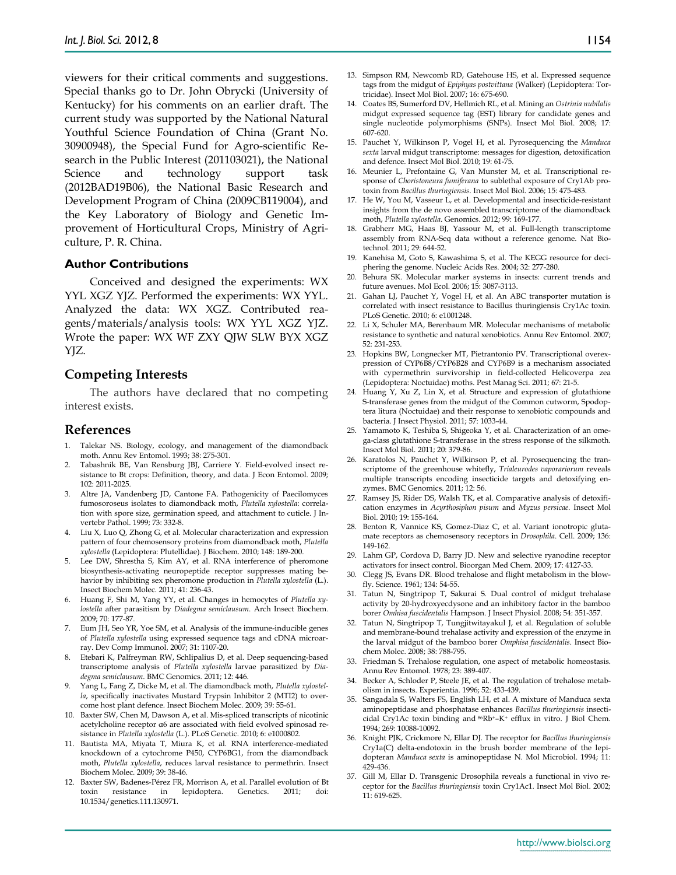viewers for their critical comments and suggestions. Special thanks go to Dr. John Obrycki (University of Kentucky) for his comments on an earlier draft. The current study was supported by the National Natural Youthful Science Foundation of China (Grant No. 30900948), the Special Fund for Agro-scientific Research in the Public Interest (201103021), the National Science and technology support task (2012BAD19B06), the National Basic Research and Development Program of China (2009CB119004), and the Key Laboratory of Biology and Genetic Improvement of Horticultural Crops, Ministry of Agriculture, P. R. China.

## **Author Contributions**

Conceived and designed the experiments: WX YYL XGZ YJZ. Performed the experiments: WX YYL. Analyzed the data: WX XGZ. Contributed reagents/materials/analysis tools: WX YYL XGZ YJZ. Wrote the paper: WX WF ZXY QJW SLW BYX XGZ YJZ.

## **Competing Interests**

The authors have declared that no competing interest exists.

## **References**

- 1. Talekar NS. Biology, ecology, and management of the diamondback moth. Annu Rev Entomol. 1993; 38: 275-301.
- 2. Tabashnik BE, Van Rensburg JBJ, Carriere Y. Field-evolved insect resistance to Bt crops: Definition, theory, and data. J Econ Entomol. 2009; 102: 2011-2025.
- 3. Altre JA, Vandenberg JD, Cantone FA. Pathogenicity of Paecilomyces fumosoroseus isolates to diamondback moth, *Plutella xylostella*: correlation with spore size, germination speed, and attachment to cuticle. J Invertebr Pathol. 1999; 73: 332-8.
- 4. Liu X, Luo Q, Zhong G, et al. Molecular characterization and expression pattern of four chemosensory proteins from diamondback moth, *Plutella xylostella* (Lepidoptera: Plutellidae). J Biochem. 2010; 148: 189-200.
- 5. Lee DW, Shrestha S, Kim AY, et al. RNA interference of pheromone biosynthesis-activating neuropeptide receptor suppresses mating behavior by inhibiting sex pheromone production in *Plutella xylostella* (L.). Insect Biochem Molec. 2011; 41: 236-43.
- 6. Huang F, Shi M, Yang YY, et al. Changes in hemocytes of *Plutella xylostella* after parasitism by *Diadegma semiclausum*. Arch Insect Biochem. 2009; 70: 177-87.
- 7. Eum JH, Seo YR, Yoe SM, et al. Analysis of the immune-inducible genes of *Plutella xylostella* using expressed sequence tags and cDNA microarray. Dev Comp Immunol. 2007; 31: 1107-20.
- 8. Etebari K, Palfreyman RW, Schlipalius D, et al. Deep sequencing-based transcriptome analysis of *Plutella xylostella* larvae parasitized by *Diadegma semiclausum*. BMC Genomics. 2011; 12: 446.
- 9. Yang L, Fang Z, Dicke M, et al. The diamondback moth, *Plutella xylostella*, specifically inactivates Mustard Trypsin Inhibitor 2 (MTI2) to overcome host plant defence. Insect Biochem Molec. 2009; 39: 55-61.
- 10. Baxter SW, Chen M, Dawson A, et al. Mis-spliced transcripts of nicotinic acetylcholine receptor α6 are associated with field evolved spinosad resistance in *Plutella xylostella* (L.). PLoS Genetic. 2010; 6: e1000802.
- 11. Bautista MA, Miyata T, Miura K, et al. RNA interference-mediated knockdown of a cytochrome P450, CYP6BG1, from the diamondback moth, *Plutella xylostella*, reduces larval resistance to permethrin. Insect Biochem Molec. 2009; 39: 38-46.
- 12. Baxter SW, Badenes-Pérez FR, Morrison A, et al. Parallel evolution of Bt toxin resistance in lepidoptera. Genetics. 2011; doi: 10.1534/genetics.111.130971.
- 13. Simpson RM, Newcomb RD, Gatehouse HS, et al. Expressed sequence tags from the midgut of *Epiphyas postvittana* (Walker) (Lepidoptera: Tortricidae). Insect Mol Biol. 2007; 16: 675-690.
- 14. Coates BS, Sumerford DV, Hellmich RL, et al. Mining an *Ostrinia nubilalis* midgut expressed sequence tag (EST) library for candidate genes and single nucleotide polymorphisms (SNPs). Insect Mol Biol. 2008; 17: 607-620.
- 15. Pauchet Y, Wilkinson P, Vogel H, et al. Pyrosequencing the *Manduca sexta* larval midgut transcriptome: messages for digestion, detoxification and defence. Insect Mol Biol. 2010; 19: 61-75.
- 16. Meunier L, Prefontaine G, Van Munster M, et al. Transcriptional response of *Choristoneura fumiferana* to sublethal exposure of Cry1Ab protoxin from *Bacillus thuringiensis*. Insect Mol Biol. 2006; 15: 475-483.
- 17. He W, You M, Vasseur L, et al. Developmental and insecticide-resistant insights from the de novo assembled transcriptome of the diamondback moth, *Plutella xylostella*. Genomics. 2012; 99: 169-177.
- 18. Grabherr MG, Haas BJ, Yassour M, et al. Full-length transcriptome assembly from RNA-Seq data without a reference genome. Nat Biotechnol. 2011; 29: 644-52.
- 19. Kanehisa M, Goto S, Kawashima S, et al. The KEGG resource for deciphering the genome. Nucleic Acids Res. 2004; 32: 277-280.
- 20. Behura SK. Molecular marker systems in insects: current trends and future avenues. Mol Ecol. 2006; 15: 3087-3113.
- 21. Gahan LJ, Pauchet Y, Vogel H, et al. An ABC transporter mutation is correlated with insect resistance to Bacillus thuringiensis Cry1Ac toxin. PLoS Genetic. 2010; 6: e1001248.
- 22. Li X, Schuler MA, Berenbaum MR. Molecular mechanisms of metabolic resistance to synthetic and natural xenobiotics. Annu Rev Entomol. 2007; 52: 231-253.
- 23. Hopkins BW, Longnecker MT, Pietrantonio PV. Transcriptional overexpression of CYP6B8/CYP6B28 and CYP6B9 is a mechanism associated with cypermethrin survivorship in field-collected Helicoverpa zea (Lepidoptera: Noctuidae) moths. Pest Manag Sci. 2011; 67: 21-5.
- 24. Huang Y, Xu Z, Lin X, et al. Structure and expression of glutathione S-transferase genes from the midgut of the Common cutworm, Spodoptera litura (Noctuidae) and their response to xenobiotic compounds and bacteria. J Insect Physiol. 2011; 57: 1033-44.
- 25. Yamamoto K, Teshiba S, Shigeoka Y, et al. Characterization of an omega-class glutathione S-transferase in the stress response of the silkmoth. Insect Mol Biol. 2011; 20: 379-86.
- 26. Karatolos N, Pauchet Y, Wilkinson P, et al. Pyrosequencing the transcriptome of the greenhouse whitefly, *Trialeurodes vaporariorum* reveals multiple transcripts encoding insecticide targets and detoxifying enzymes. BMC Genomics. 2011; 12: 56.
- 27. Ramsey JS, Rider DS, Walsh TK, et al. Comparative analysis of detoxification enzymes in *Acyrthosiphon pisum* and *Myzus persicae*. Insect Mol Biol. 2010; 19: 155-164.
- 28. Benton R, Vannice KS, Gomez-Diaz C, et al. Variant ionotropic glutamate receptors as chemosensory receptors in *Drosophila*. Cell. 2009; 136: 149-162.
- 29. Lahm GP, Cordova D, Barry JD. New and selective ryanodine receptor activators for insect control. Bioorgan Med Chem. 2009; 17: 4127-33.
- 30. Clegg JS, Evans DR. Blood trehalose and flight metabolism in the blowfly. Science. 1961; 134: 54-55.
- 31. Tatun N, Singtripop T, Sakurai S. Dual control of midgut trehalase activity by 20-hydroxyecdysone and an inhibitory factor in the bamboo borer *Omhisa fuscidentalis* Hampson. J Insect Physiol. 2008; 54: 351-357.
- 32. Tatun N, Singtripop T, Tungjitwitayakul J, et al. Regulation of soluble and membrane-bound trehalase activity and expression of the enzyme in the larval midgut of the bamboo borer *Omphisa fuscidentalis*. Insect Biochem Molec. 2008; 38: 788-795.
- 33. Friedman S. Trehalose regulation, one aspect of metabolic homeostasis. Annu Rev Entomol. 1978; 23: 389-407.
- 34. Becker A, Schloder P, Steele JE, et al. The regulation of trehalose metabolism in insects. Experientia. 1996; 52: 433-439.
- 35. Sangadala S, Walters FS, English LH, et al. A mixture of Manduca sexta aminopeptidase and phosphatase enhances *Bacillus thuringiensis* insecticidal Cry1Ac toxin binding and 86Rb+–K+ efflux in vitro. J Biol Chem. 1994; 269: 10088-10092.
- 36. Knight PJK, Crickmore N, Ellar DJ. The receptor for *Bacillus thuringiensis* Cry1a(C) delta-endotoxin in the brush border membrane of the lepidopteran *Manduca sexta* is aminopeptidase N. Mol Microbiol. 1994; 11: 429-436.
- 37. Gill M, Ellar D. Transgenic Drosophila reveals a functional in vivo receptor for the *Bacillus thuringiensis* toxin Cry1Ac1. Insect Mol Biol. 2002; 11: 619-625.